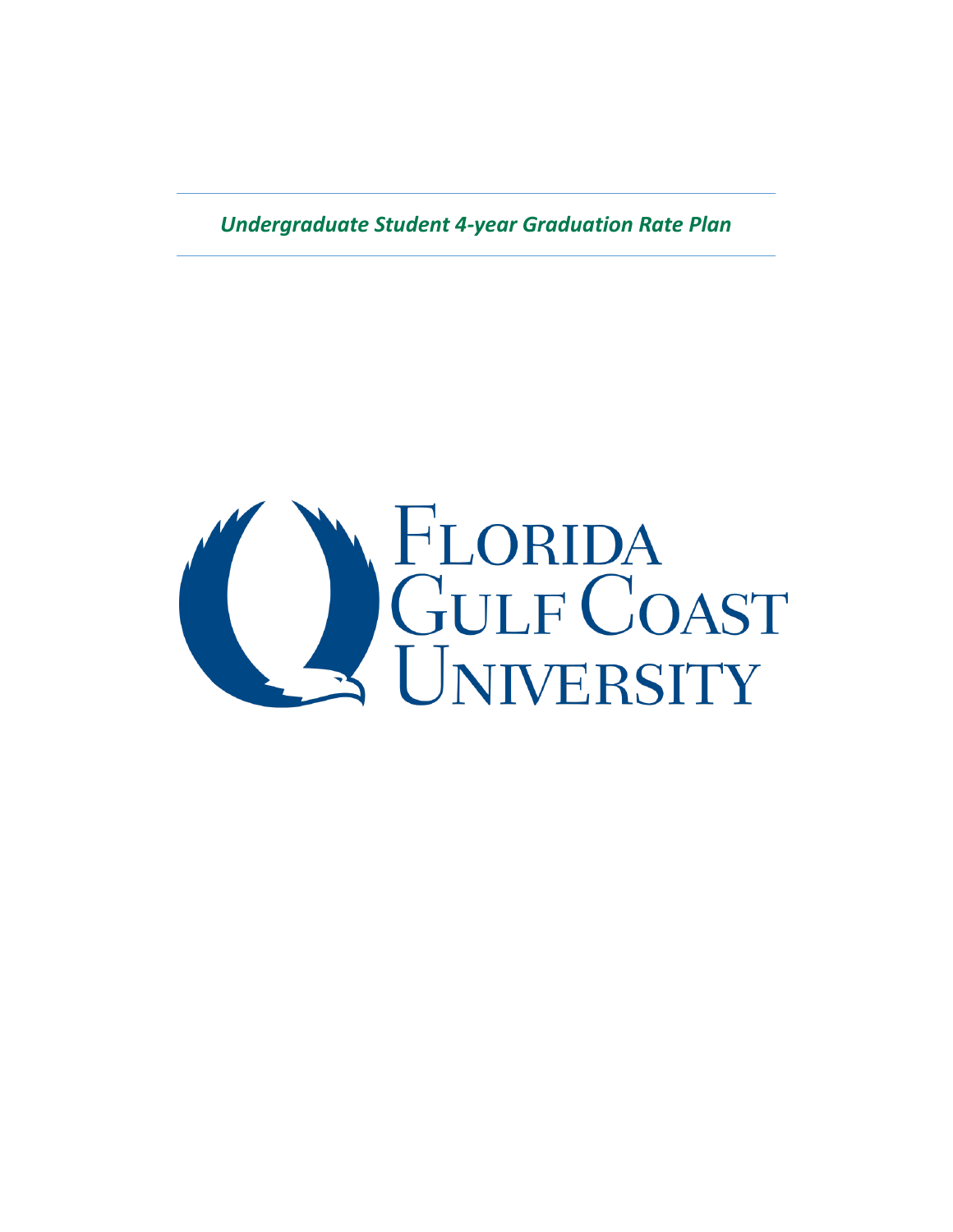*Undergraduate Student 4-year Graduation Rate Plan*

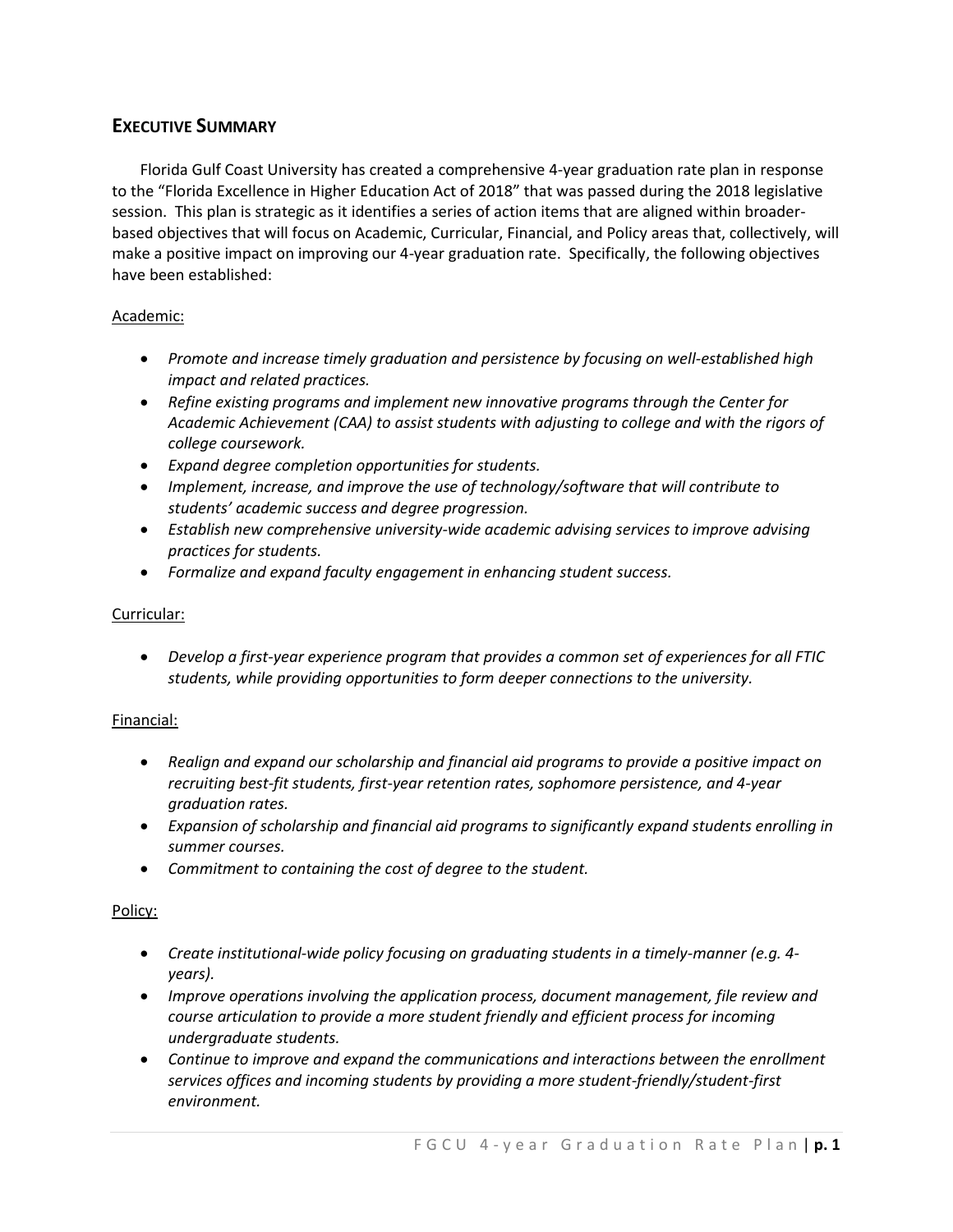# **EXECUTIVE SUMMARY**

Florida Gulf Coast University has created a comprehensive 4-year graduation rate plan in response to the "Florida Excellence in Higher Education Act of 2018" that was passed during the 2018 legislative session. This plan is strategic as it identifies a series of action items that are aligned within broaderbased objectives that will focus on Academic, Curricular, Financial, and Policy areas that, collectively, will make a positive impact on improving our 4-year graduation rate. Specifically, the following objectives have been established:

### Academic:

- *Promote and increase timely graduation and persistence by focusing on well-established high impact and related practices.*
- *Refine existing programs and implement new innovative programs through the Center for Academic Achievement (CAA) to assist students with adjusting to college and with the rigors of college coursework.*
- *Expand degree completion opportunities for students.*
- *Implement, increase, and improve the use of technology/software that will contribute to students' academic success and degree progression.*
- *Establish new comprehensive university-wide academic advising services to improve advising practices for students.*
- *Formalize and expand faculty engagement in enhancing student success.*

### Curricular:

 *Develop a first-year experience program that provides a common set of experiences for all FTIC students, while providing opportunities to form deeper connections to the university.*

### Financial:

- *Realign and expand our scholarship and financial aid programs to provide a positive impact on recruiting best-fit students, first-year retention rates, sophomore persistence, and 4-year graduation rates.*
- *Expansion of scholarship and financial aid programs to significantly expand students enrolling in summer courses.*
- *Commitment to containing the cost of degree to the student.*

### Policy:

- *Create institutional-wide policy focusing on graduating students in a timely-manner (e.g. 4 years).*
- *Improve operations involving the application process, document management, file review and course articulation to provide a more student friendly and efficient process for incoming undergraduate students.*
- *Continue to improve and expand the communications and interactions between the enrollment services offices and incoming students by providing a more student-friendly/student-first environment.*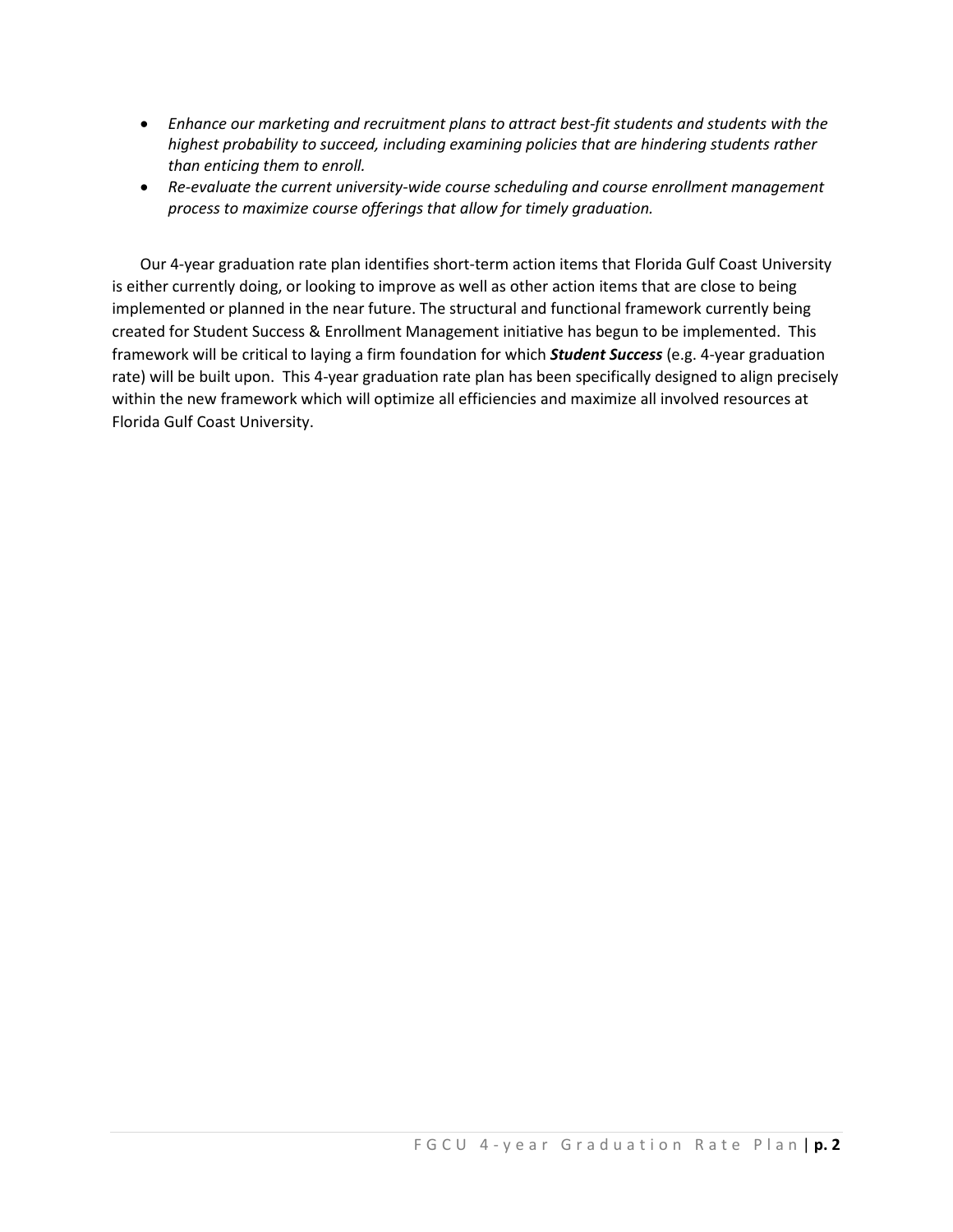- *Enhance our marketing and recruitment plans to attract best-fit students and students with the highest probability to succeed, including examining policies that are hindering students rather than enticing them to enroll.*
- *Re-evaluate the current university-wide course scheduling and course enrollment management process to maximize course offerings that allow for timely graduation.*

Our 4-year graduation rate plan identifies short-term action items that Florida Gulf Coast University is either currently doing, or looking to improve as well as other action items that are close to being implemented or planned in the near future. The structural and functional framework currently being created for Student Success & Enrollment Management initiative has begun to be implemented. This framework will be critical to laying a firm foundation for which *Student Success* (e.g. 4-year graduation rate) will be built upon. This 4-year graduation rate plan has been specifically designed to align precisely within the new framework which will optimize all efficiencies and maximize all involved resources at Florida Gulf Coast University.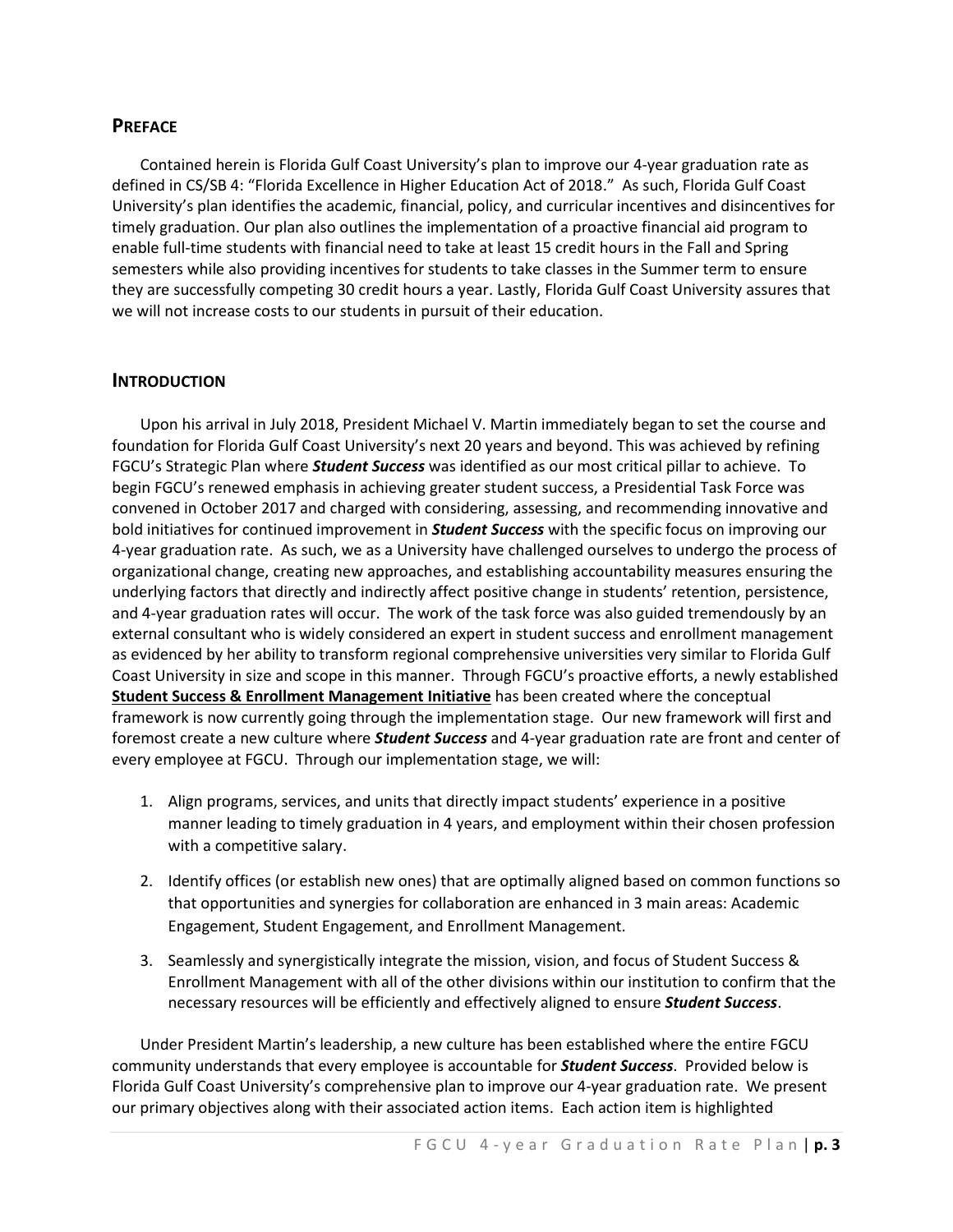## **PREFACE**

Contained herein is Florida Gulf Coast University's plan to improve our 4-year graduation rate as defined in CS/SB 4: "Florida Excellence in Higher Education Act of 2018." As such, Florida Gulf Coast University's plan identifies the academic, financial, policy, and curricular incentives and disincentives for timely graduation. Our plan also outlines the implementation of a proactive financial aid program to enable full-time students with financial need to take at least 15 credit hours in the Fall and Spring semesters while also providing incentives for students to take classes in the Summer term to ensure they are successfully competing 30 credit hours a year. Lastly, Florida Gulf Coast University assures that we will not increase costs to our students in pursuit of their education.

#### **INTRODUCTION**

Upon his arrival in July 2018, President Michael V. Martin immediately began to set the course and foundation for Florida Gulf Coast University's next 20 years and beyond. This was achieved by refining FGCU's Strategic Plan where *Student Success* was identified as our most critical pillar to achieve. To begin FGCU's renewed emphasis in achieving greater student success, a Presidential Task Force was convened in October 2017 and charged with considering, assessing, and recommending innovative and bold initiatives for continued improvement in *Student Success* with the specific focus on improving our 4-year graduation rate. As such, we as a University have challenged ourselves to undergo the process of organizational change, creating new approaches, and establishing accountability measures ensuring the underlying factors that directly and indirectly affect positive change in students' retention, persistence, and 4-year graduation rates will occur. The work of the task force was also guided tremendously by an external consultant who is widely considered an expert in student success and enrollment management as evidenced by her ability to transform regional comprehensive universities very similar to Florida Gulf Coast University in size and scope in this manner. Through FGCU's proactive efforts, a newly established **Student Success & Enrollment Management Initiative** has been created where the conceptual framework is now currently going through the implementation stage. Our new framework will first and foremost create a new culture where *Student Success* and 4-year graduation rate are front and center of every employee at FGCU. Through our implementation stage, we will:

- 1. Align programs, services, and units that directly impact students' experience in a positive manner leading to timely graduation in 4 years, and employment within their chosen profession with a competitive salary.
- 2. Identify offices (or establish new ones) that are optimally aligned based on common functions so that opportunities and synergies for collaboration are enhanced in 3 main areas: Academic Engagement, Student Engagement, and Enrollment Management.
- 3. Seamlessly and synergistically integrate the mission, vision, and focus of Student Success & Enrollment Management with all of the other divisions within our institution to confirm that the necessary resources will be efficiently and effectively aligned to ensure *Student Success*.

Under President Martin's leadership, a new culture has been established where the entire FGCU community understands that every employee is accountable for *Student Success*. Provided below is Florida Gulf Coast University's comprehensive plan to improve our 4-year graduation rate. We present our primary objectives along with their associated action items. Each action item is highlighted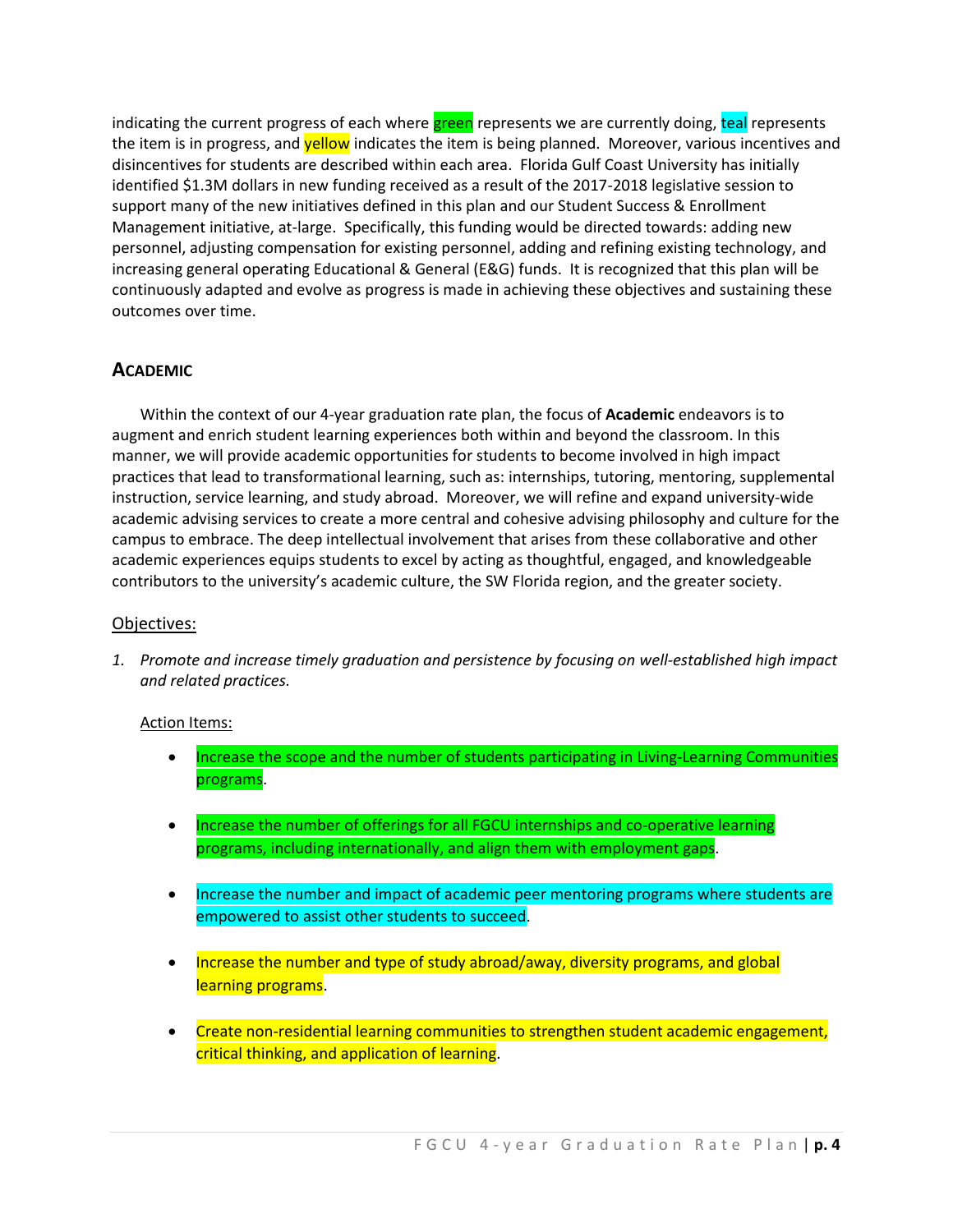indicating the current progress of each where **green** represents we are currently doing, teal represents the item is in progress, and **yellow** indicates the item is being planned. Moreover, various incentives and disincentives for students are described within each area. Florida Gulf Coast University has initially identified \$1.3M dollars in new funding received as a result of the 2017-2018 legislative session to support many of the new initiatives defined in this plan and our Student Success & Enrollment Management initiative, at-large. Specifically, this funding would be directed towards: adding new personnel, adjusting compensation for existing personnel, adding and refining existing technology, and increasing general operating Educational & General (E&G) funds. It is recognized that this plan will be continuously adapted and evolve as progress is made in achieving these objectives and sustaining these outcomes over time.

# **ACADEMIC**

Within the context of our 4-year graduation rate plan, the focus of **Academic** endeavors is to augment and enrich student learning experiences both within and beyond the classroom. In this manner, we will provide academic opportunities for students to become involved in high impact practices that lead to transformational learning, such as: internships, tutoring, mentoring, supplemental instruction, service learning, and study abroad. Moreover, we will refine and expand university-wide academic advising services to create a more central and cohesive advising philosophy and culture for the campus to embrace. The deep intellectual involvement that arises from these collaborative and other academic experiences equips students to excel by acting as thoughtful, engaged, and knowledgeable contributors to the university's academic culture, the SW Florida region, and the greater society.

## Objectives:

*1. Promote and increase timely graduation and persistence by focusing on well-established high impact and related practices.*

- **Increase the scope and the number of students participating in Living-Learning Communities** programs.
- Increase the number of offerings for all FGCU internships and co-operative learning programs, including internationally, and align them with employment gaps.
- Increase the number and impact of academic peer mentoring programs where students are empowered to assist other students to succeed.
- Increase the number and type of study abroad/away, diversity programs, and global learning programs.
- Create non-residential learning communities to strengthen student academic engagement, critical thinking, and application of learning.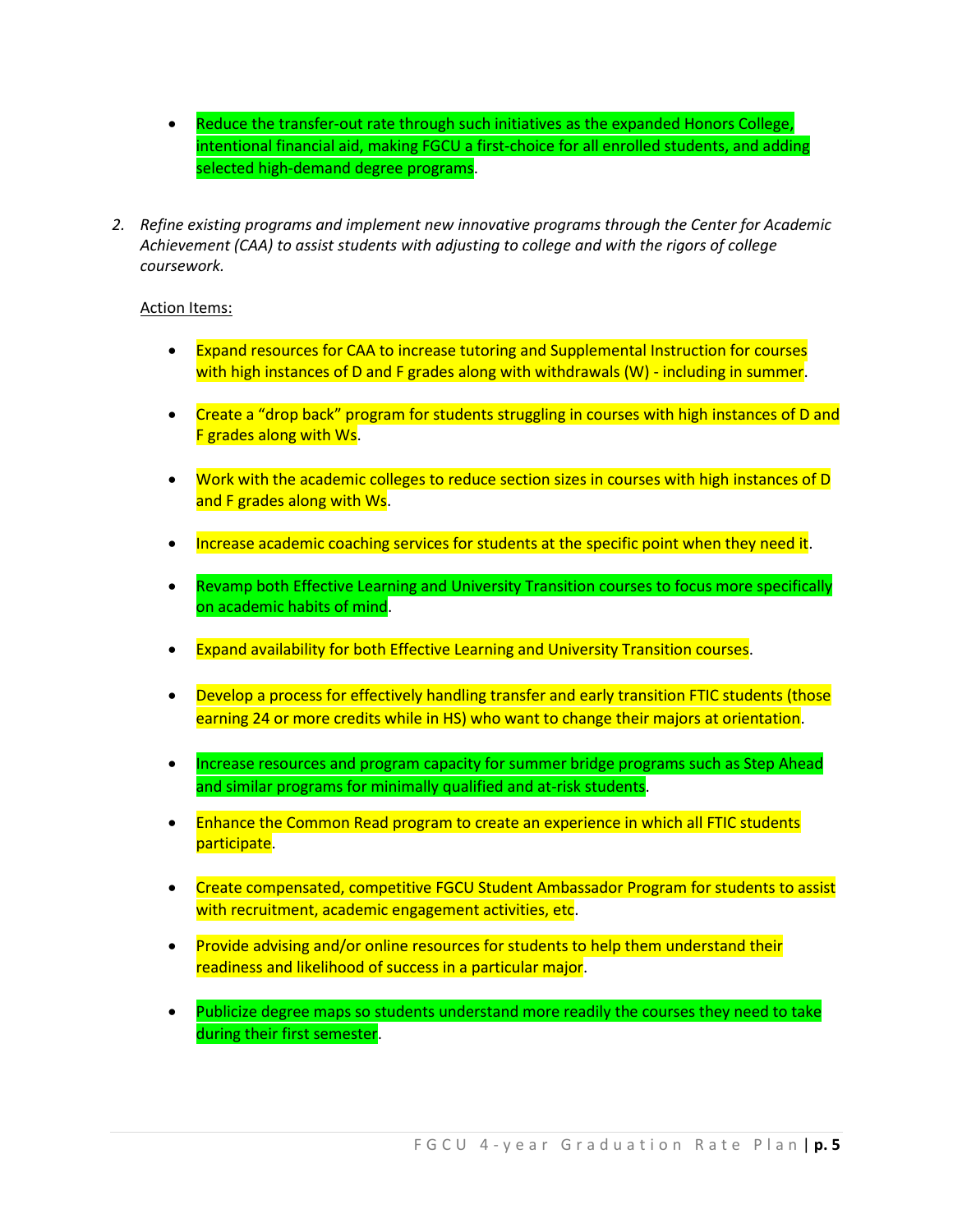- Reduce the transfer-out rate through such initiatives as the expanded Honors College, intentional financial aid, making FGCU a first-choice for all enrolled students, and adding selected high-demand degree programs.
- *2. Refine existing programs and implement new innovative programs through the Center for Academic Achievement (CAA) to assist students with adjusting to college and with the rigors of college coursework.*

- Expand resources for CAA to increase tutoring and Supplemental Instruction for courses with high instances of D and F grades along with withdrawals (W) - including in summer.
- Create a "drop back" program for students struggling in courses with high instances of D and F grades along with Ws.
- Work with the academic colleges to reduce section sizes in courses with high instances of D and F grades along with Ws.
- Increase academic coaching services for students at the specific point when they need it.
- Revamp both Effective Learning and University Transition courses to focus more specifically on academic habits of mind.
- Expand availability for both Effective Learning and University Transition courses.
- Develop a process for effectively handling transfer and early transition FTIC students (those earning 24 or more credits while in HS) who want to change their majors at orientation.
- **Increase resources and program capacity for summer bridge programs such as Step Ahead** and similar programs for minimally qualified and at-risk students.
- Enhance the Common Read program to create an experience in which all FTIC students participate.
- Create compensated, competitive FGCU Student Ambassador Program for students to assist with recruitment, academic engagement activities, etc.
- Provide advising and/or online resources for students to help them understand their readiness and likelihood of success in a particular major.
- Publicize degree maps so students understand more readily the courses they need to take during their first semester.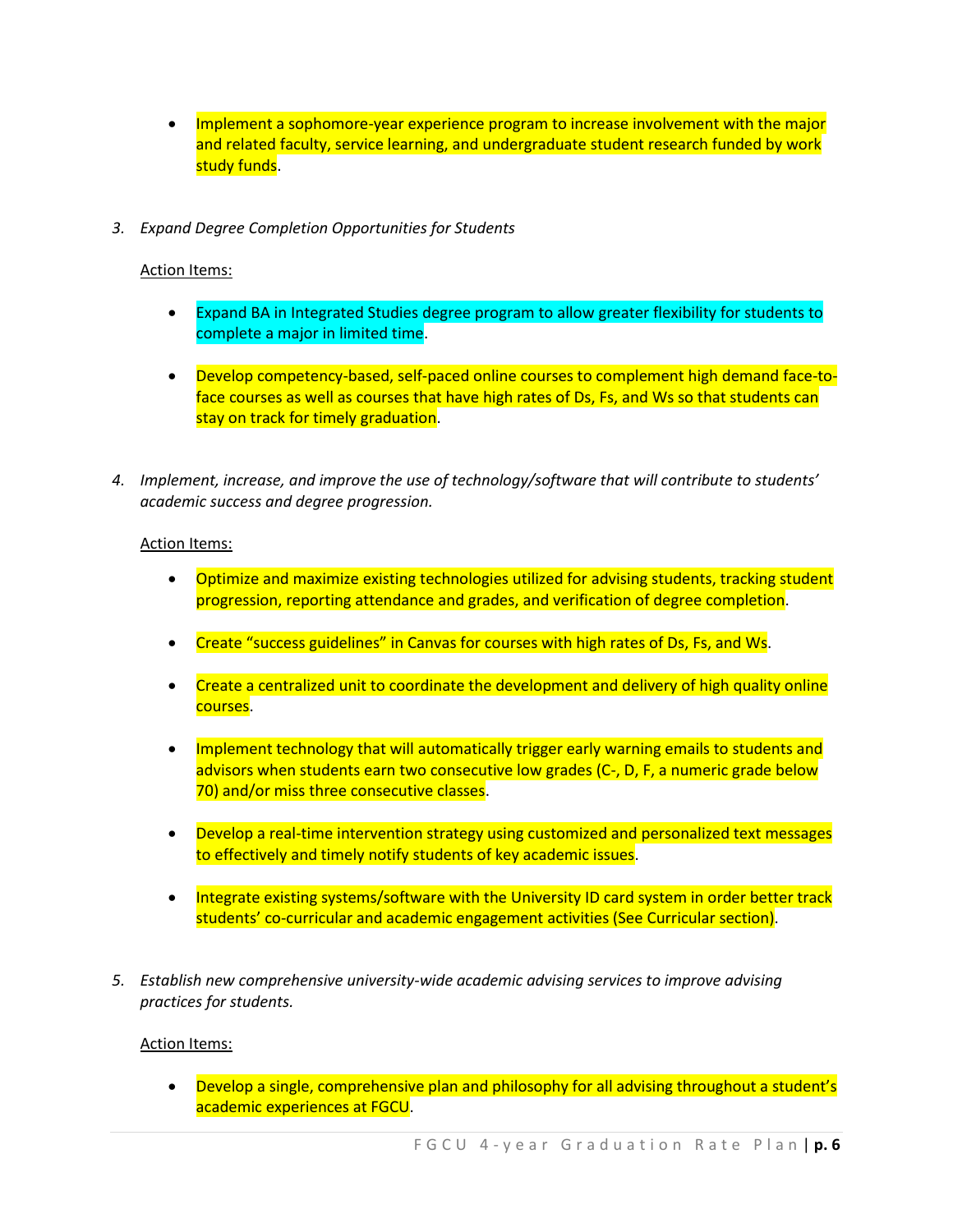- Implement a sophomore-year experience program to increase involvement with the major and related faculty, service learning, and undergraduate student research funded by work study funds.
- *3. Expand Degree Completion Opportunities for Students*

- Expand BA in Integrated Studies degree program to allow greater flexibility for students to complete a major in limited time.
- Develop competency-based, self-paced online courses to complement high demand face-toface courses as well as courses that have high rates of Ds, Fs, and Ws so that students can stay on track for timely graduation.
- *4. Implement, increase, and improve the use of technology/software that will contribute to students' academic success and degree progression.*

#### Action Items:

- Optimize and maximize existing technologies utilized for advising students, tracking student progression, reporting attendance and grades, and verification of degree completion.
- Create "success guidelines" in Canvas for courses with high rates of Ds, Fs, and Ws.
- Create a centralized unit to coordinate the development and delivery of high quality online courses.
- Implement technology that will automatically trigger early warning emails to students and advisors when students earn two consecutive low grades (C-, D, F, a numeric grade below 70) and/or miss three consecutive classes.
- Develop a real-time intervention strategy using customized and personalized text messages to effectively and timely notify students of key academic issues.
- Integrate existing systems/software with the University ID card system in order better track students' co-curricular and academic engagement activities (See Curricular section).
- *5. Establish new comprehensive university-wide academic advising services to improve advising practices for students.*

#### Action Items:

• Develop a single, comprehensive plan and philosophy for all advising throughout a student's academic experiences at FGCU.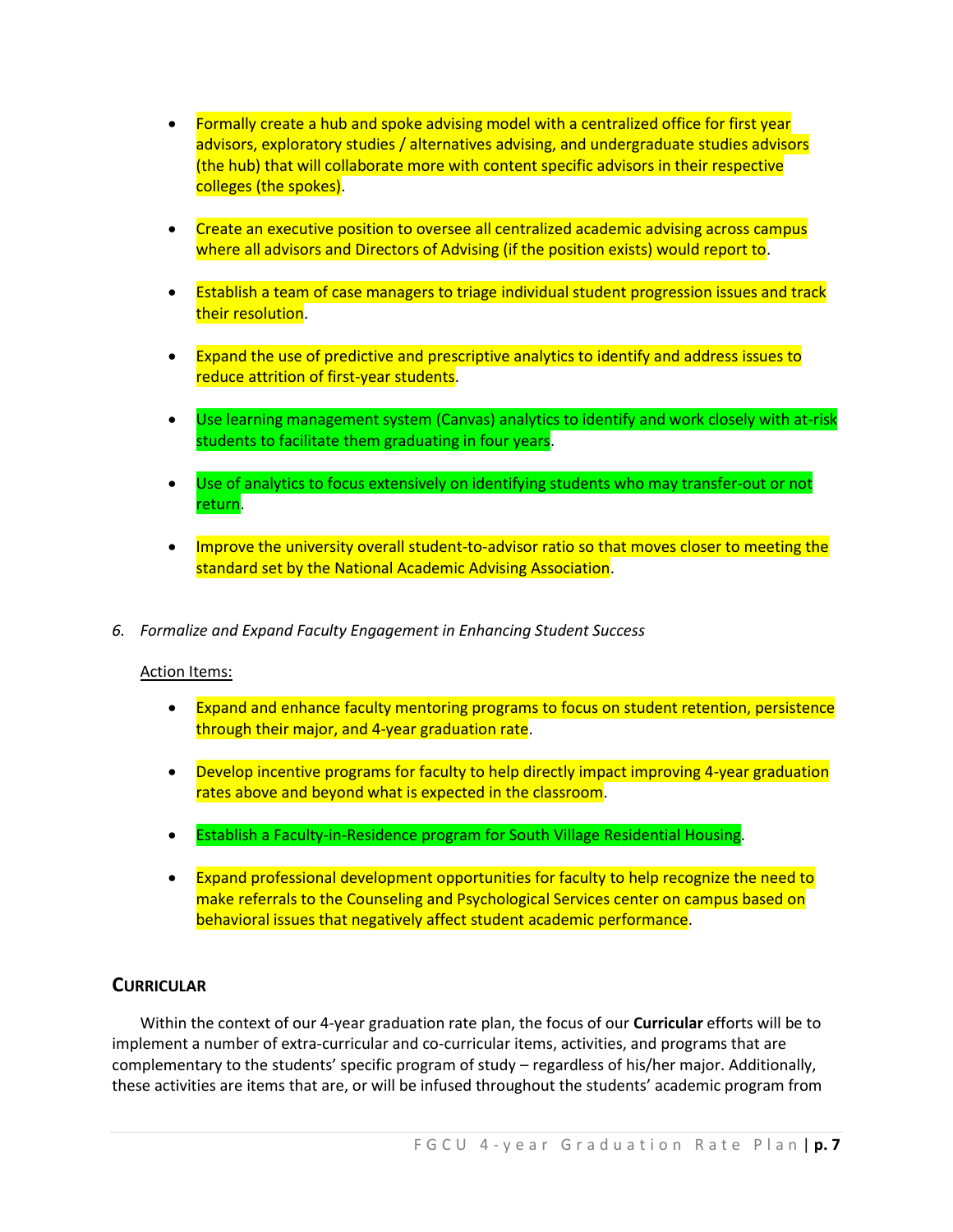- Formally create a hub and spoke advising model with a centralized office for first year advisors, exploratory studies / alternatives advising, and undergraduate studies advisors (the hub) that will collaborate more with content specific advisors in their respective colleges (the spokes).
- Create an executive position to oversee all centralized academic advising across campus where all advisors and Directors of Advising (if the position exists) would report to.
- Establish a team of case managers to triage individual student progression issues and track their resolution.
- Expand the use of predictive and prescriptive analytics to identify and address issues to reduce attrition of first-year students.
- Use learning management system (Canvas) analytics to identify and work closely with at-risk students to facilitate them graduating in four years.
- Use of analytics to focus extensively on identifying students who may transfer-out or not return.
- Improve the university overall student-to-advisor ratio so that moves closer to meeting the standard set by the National Academic Advising Association.
- *6. Formalize and Expand Faculty Engagement in Enhancing Student Success*

- Expand and enhance faculty mentoring programs to focus on student retention, persistence through their major, and 4-year graduation rate.
- Develop incentive programs for faculty to help directly impact improving 4-year graduation rates above and beyond what is expected in the classroom.
- **Establish a Faculty-in-Residence program for South Village Residential Housing.**
- Expand professional development opportunities for faculty to help recognize the need to make referrals to the Counseling and Psychological Services center on campus based on behavioral issues that negatively affect student academic performance.

#### **CURRICULAR**

Within the context of our 4-year graduation rate plan, the focus of our **Curricular** efforts will be to implement a number of extra-curricular and co-curricular items, activities, and programs that are complementary to the students' specific program of study – regardless of his/her major. Additionally, these activities are items that are, or will be infused throughout the students' academic program from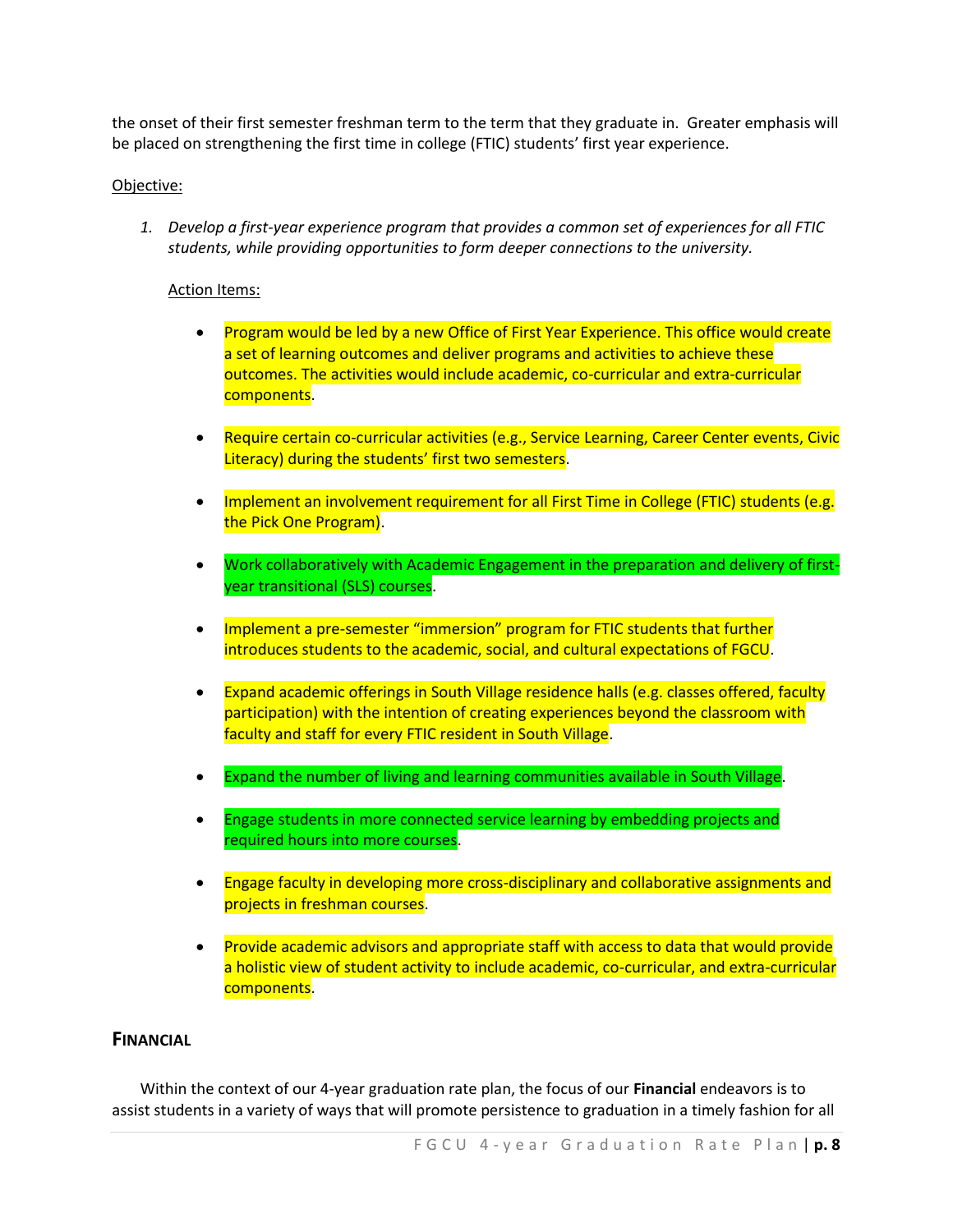the onset of their first semester freshman term to the term that they graduate in. Greater emphasis will be placed on strengthening the first time in college (FTIC) students' first year experience.

#### Objective:

*1. Develop a first-year experience program that provides a common set of experiences for all FTIC students, while providing opportunities to form deeper connections to the university.*

#### Action Items:

- Program would be led by a new Office of First Year Experience. This office would create a set of learning outcomes and deliver programs and activities to achieve these outcomes. The activities would include academic, co-curricular and extra-curricular components.
- Require certain co-curricular activities (e.g., Service Learning, Career Center events, Civic Literacy) during the students' first two semesters.
- Implement an involvement requirement for all First Time in College (FTIC) students (e.g. the Pick One Program).
- Work collaboratively with Academic Engagement in the preparation and delivery of firstyear transitional (SLS) courses.
- Implement a pre-semester "immersion" program for FTIC students that further introduces students to the academic, social, and cultural expectations of FGCU.
- Expand academic offerings in South Village residence halls (e.g. classes offered, faculty participation) with the intention of creating experiences beyond the classroom with faculty and staff for every FTIC resident in South Village.
- Expand the number of living and learning communities available in South Village.
- **Engage students in more connected service learning by embedding projects and** required hours into more courses.
- Engage faculty in developing more cross-disciplinary and collaborative assignments and projects in freshman courses.
- Provide academic advisors and appropriate staff with access to data that would provide a holistic view of student activity to include academic, co-curricular, and extra-curricular components.

### **FINANCIAL**

Within the context of our 4-year graduation rate plan, the focus of our **Financial** endeavors is to assist students in a variety of ways that will promote persistence to graduation in a timely fashion for all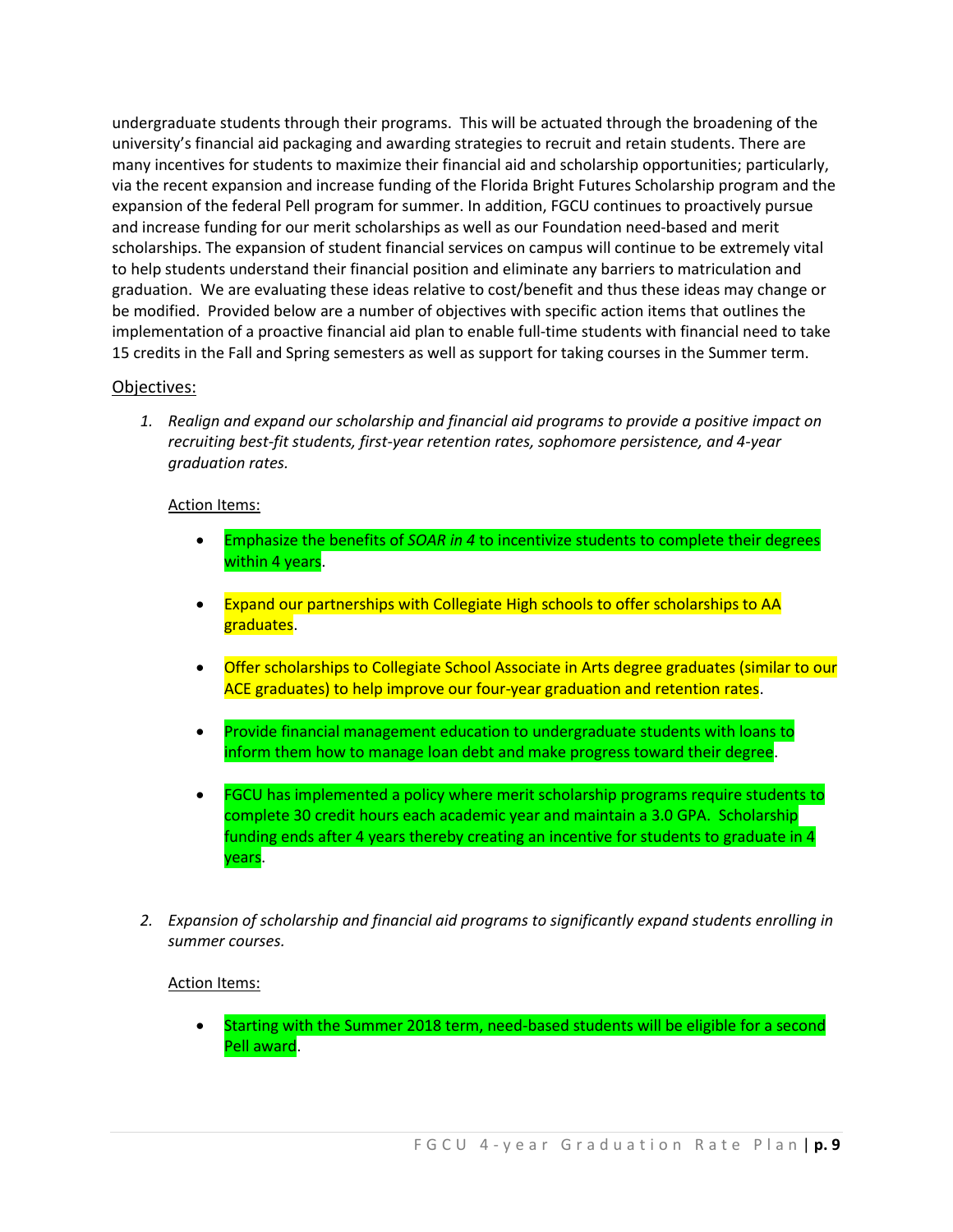undergraduate students through their programs. This will be actuated through the broadening of the university's financial aid packaging and awarding strategies to recruit and retain students. There are many incentives for students to maximize their financial aid and scholarship opportunities; particularly, via the recent expansion and increase funding of the Florida Bright Futures Scholarship program and the expansion of the federal Pell program for summer. In addition, FGCU continues to proactively pursue and increase funding for our merit scholarships as well as our Foundation need-based and merit scholarships. The expansion of student financial services on campus will continue to be extremely vital to help students understand their financial position and eliminate any barriers to matriculation and graduation. We are evaluating these ideas relative to cost/benefit and thus these ideas may change or be modified. Provided below are a number of objectives with specific action items that outlines the implementation of a proactive financial aid plan to enable full-time students with financial need to take 15 credits in the Fall and Spring semesters as well as support for taking courses in the Summer term.

#### Objectives:

*1. Realign and expand our scholarship and financial aid programs to provide a positive impact on recruiting best-fit students, first-year retention rates, sophomore persistence, and 4-year graduation rates.*

#### Action Items:

- Emphasize the benefits of *SOAR in 4* to incentivize students to complete their degrees within 4 years.
- Expand our partnerships with Collegiate High schools to offer scholarships to AA graduates.
- Offer scholarships to Collegiate School Associate in Arts degree graduates (similar to our ACE graduates) to help improve our four-year graduation and retention rates.
- Provide financial management education to undergraduate students with loans to inform them how to manage loan debt and make progress toward their degree.
- FGCU has implemented a policy where merit scholarship programs require students to complete 30 credit hours each academic year and maintain a 3.0 GPA. Scholarship funding ends after 4 years thereby creating an incentive for students to graduate in 4 years.
- *2. Expansion of scholarship and financial aid programs to significantly expand students enrolling in summer courses.*

#### Action Items:

• Starting with the Summer 2018 term, need-based students will be eligible for a second Pell award.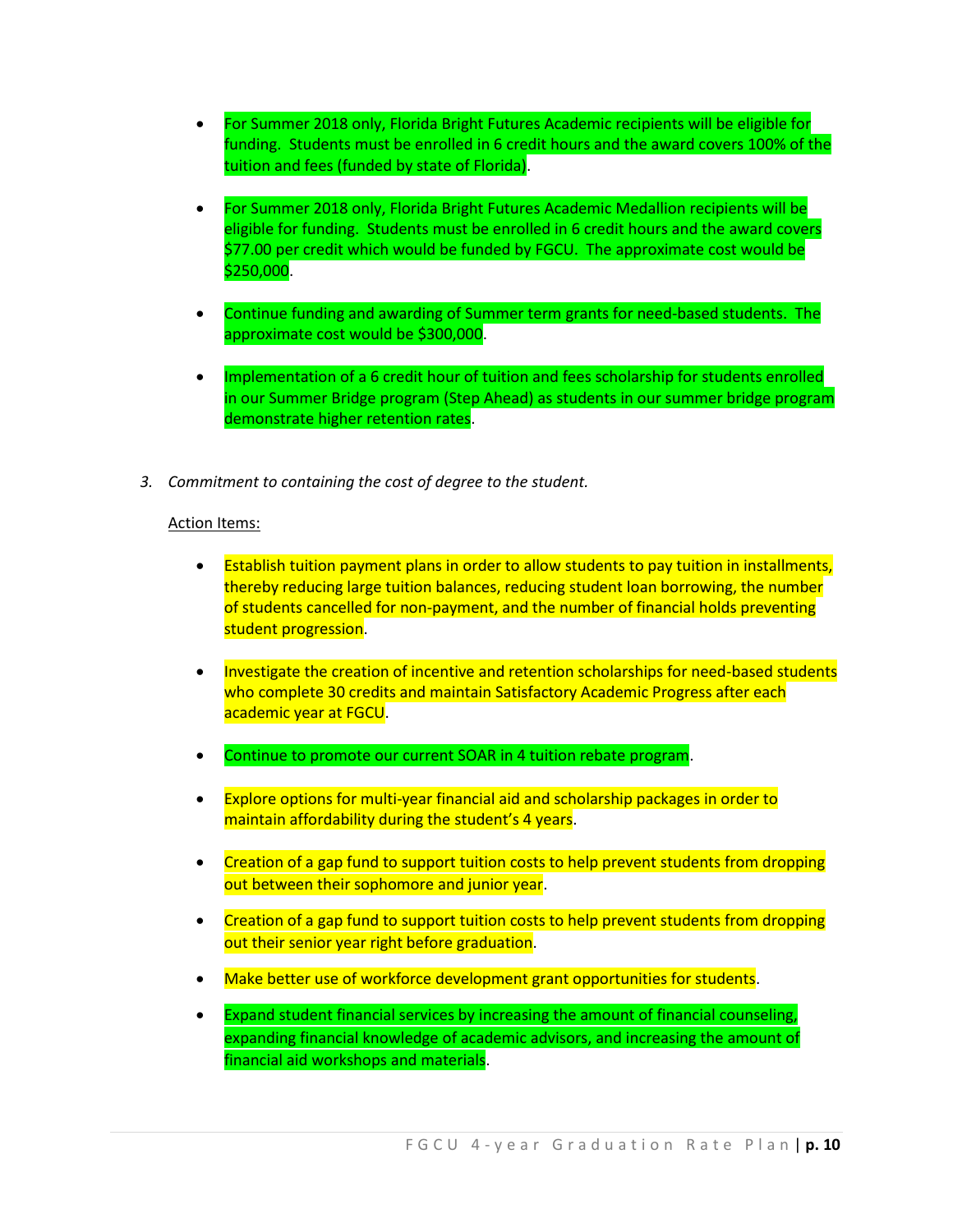- For Summer 2018 only, Florida Bright Futures Academic recipients will be eligible for funding. Students must be enrolled in 6 credit hours and the award covers 100% of the tuition and fees (funded by state of Florida).
- For Summer 2018 only, Florida Bright Futures Academic Medallion recipients will be eligible for funding. Students must be enrolled in 6 credit hours and the award covers \$77.00 per credit which would be funded by FGCU. The approximate cost would be \$250,000.
- Continue funding and awarding of Summer term grants for need-based students. The approximate cost would be \$300,000.
- Implementation of a 6 credit hour of tuition and fees scholarship for students enrolled in our Summer Bridge program (Step Ahead) as students in our summer bridge program demonstrate higher retention rates.
- *3. Commitment to containing the cost of degree to the student.*

- Establish tuition payment plans in order to allow students to pay tuition in installments, thereby reducing large tuition balances, reducing student loan borrowing, the number of students cancelled for non-payment, and the number of financial holds preventing student progression.
- Investigate the creation of incentive and retention scholarships for need-based students who complete 30 credits and maintain Satisfactory Academic Progress after each academic year at FGCU.
- Continue to promote our current SOAR in 4 tuition rebate program.
- Explore options for multi-year financial aid and scholarship packages in order to maintain affordability during the student's 4 years.
- Creation of a gap fund to support tuition costs to help prevent students from dropping out between their sophomore and junior year.
- Creation of a gap fund to support tuition costs to help prevent students from dropping out their senior year right before graduation.
- Make better use of workforce development grant opportunities for students.
- Expand student financial services by increasing the amount of financial counseling, expanding financial knowledge of academic advisors, and increasing the amount of financial aid workshops and materials.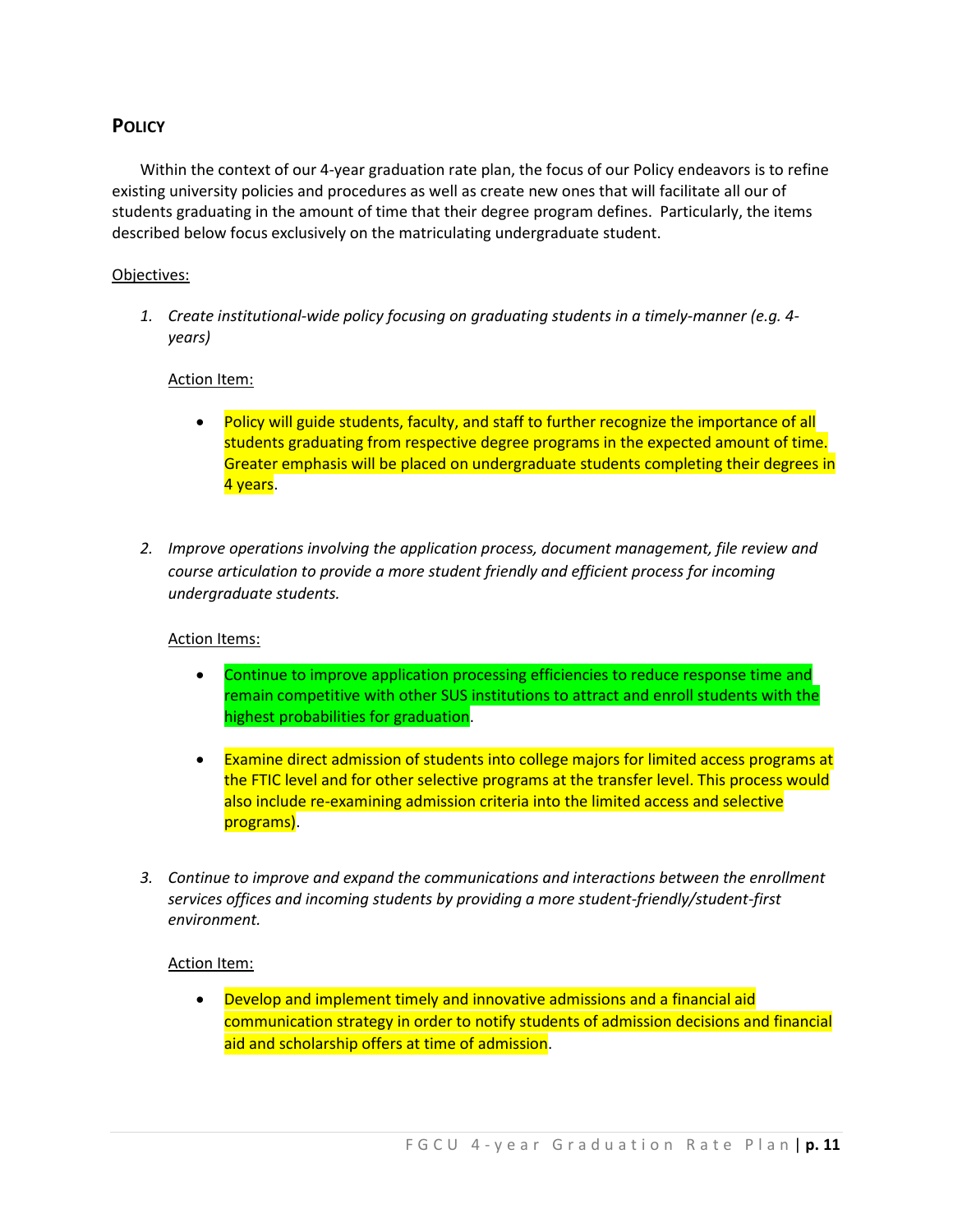## **POLICY**

Within the context of our 4-year graduation rate plan, the focus of our Policy endeavors is to refine existing university policies and procedures as well as create new ones that will facilitate all our of students graduating in the amount of time that their degree program defines. Particularly, the items described below focus exclusively on the matriculating undergraduate student.

#### Objectives:

*1. Create institutional-wide policy focusing on graduating students in a timely-manner (e.g. 4 years)*

#### Action Item:

- Policy will guide students, faculty, and staff to further recognize the importance of all students graduating from respective degree programs in the expected amount of time. Greater emphasis will be placed on undergraduate students completing their degrees in 4 years.
- *2. Improve operations involving the application process, document management, file review and course articulation to provide a more student friendly and efficient process for incoming undergraduate students.*

### Action Items:

- Continue to improve application processing efficiencies to reduce response time and remain competitive with other SUS institutions to attract and enroll students with the highest probabilities for graduation.
- Examine direct admission of students into college majors for limited access programs at the FTIC level and for other selective programs at the transfer level. This process would also include re-examining admission criteria into the limited access and selective programs).
- *3. Continue to improve and expand the communications and interactions between the enrollment services offices and incoming students by providing a more student-friendly/student-first environment.*

#### Action Item:

 Develop and implement timely and innovative admissions and a financial aid communication strategy in order to notify students of admission decisions and financial aid and scholarship offers at time of admission.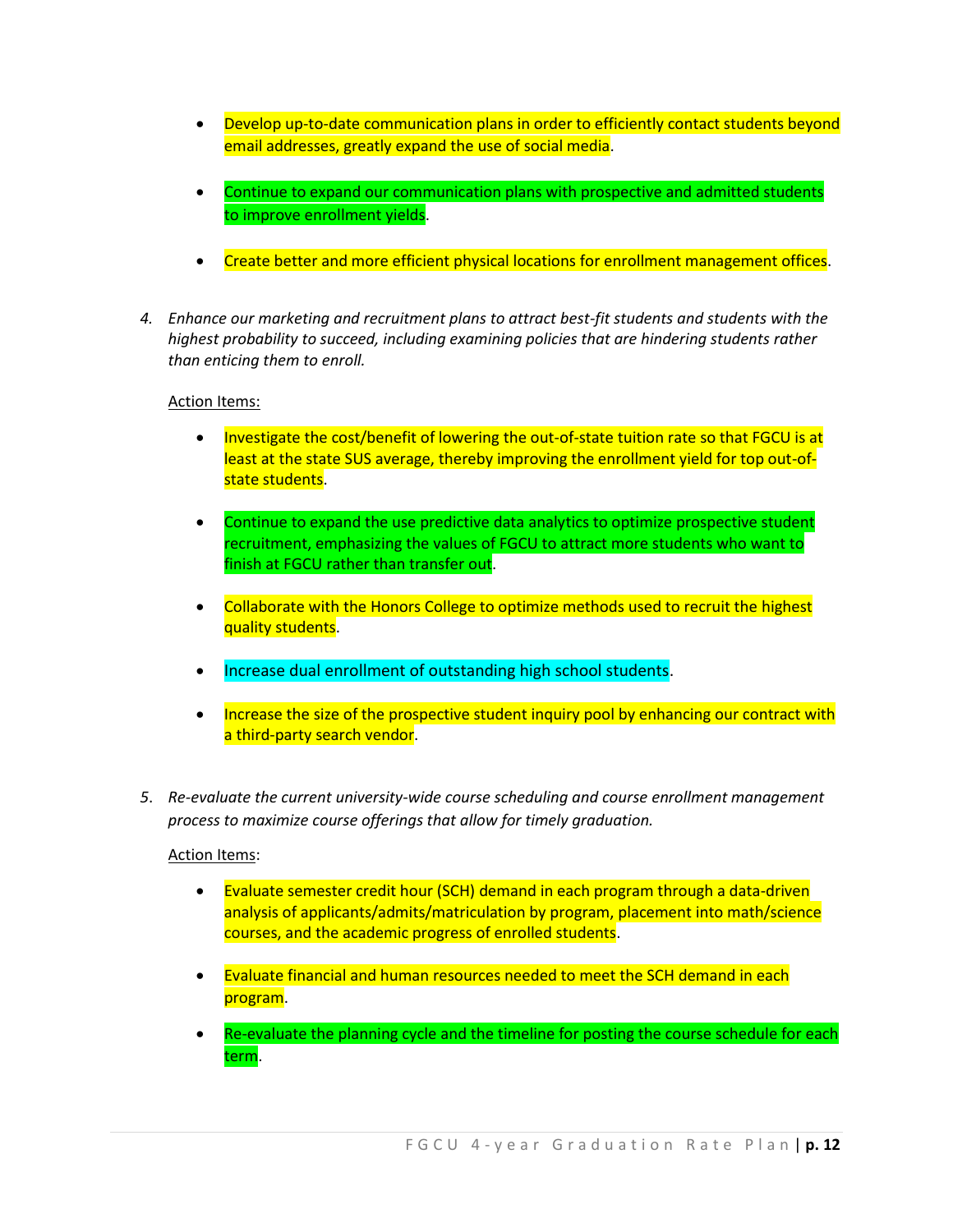- Develop up-to-date communication plans in order to efficiently contact students beyond email addresses, greatly expand the use of social media.
- Continue to expand our communication plans with prospective and admitted students to improve enrollment yields.
- Create better and more efficient physical locations for enrollment management offices.
- *4. Enhance our marketing and recruitment plans to attract best-fit students and students with the highest probability to succeed, including examining policies that are hindering students rather than enticing them to enroll.*

- Investigate the cost/benefit of lowering the out-of-state tuition rate so that FGCU is at least at the state SUS average, thereby improving the enrollment yield for top out-ofstate students.
- Continue to expand the use predictive data analytics to optimize prospective student recruitment, emphasizing the values of FGCU to attract more students who want to finish at FGCU rather than transfer out.
- Collaborate with the Honors College to optimize methods used to recruit the highest quality students.
- Increase dual enrollment of outstanding high school students.
- Increase the size of the prospective student inquiry pool by enhancing our contract with a third-party search vendor.
- *5*. *Re-evaluate the current university-wide course scheduling and course enrollment management process to maximize course offerings that allow for timely graduation.*

- Evaluate semester credit hour (SCH) demand in each program through a data-driven analysis of applicants/admits/matriculation by program, placement into math/science courses, and the academic progress of enrolled students.
- Evaluate financial and human resources needed to meet the SCH demand in each program.
- Re-evaluate the planning cycle and the timeline for posting the course schedule for each term.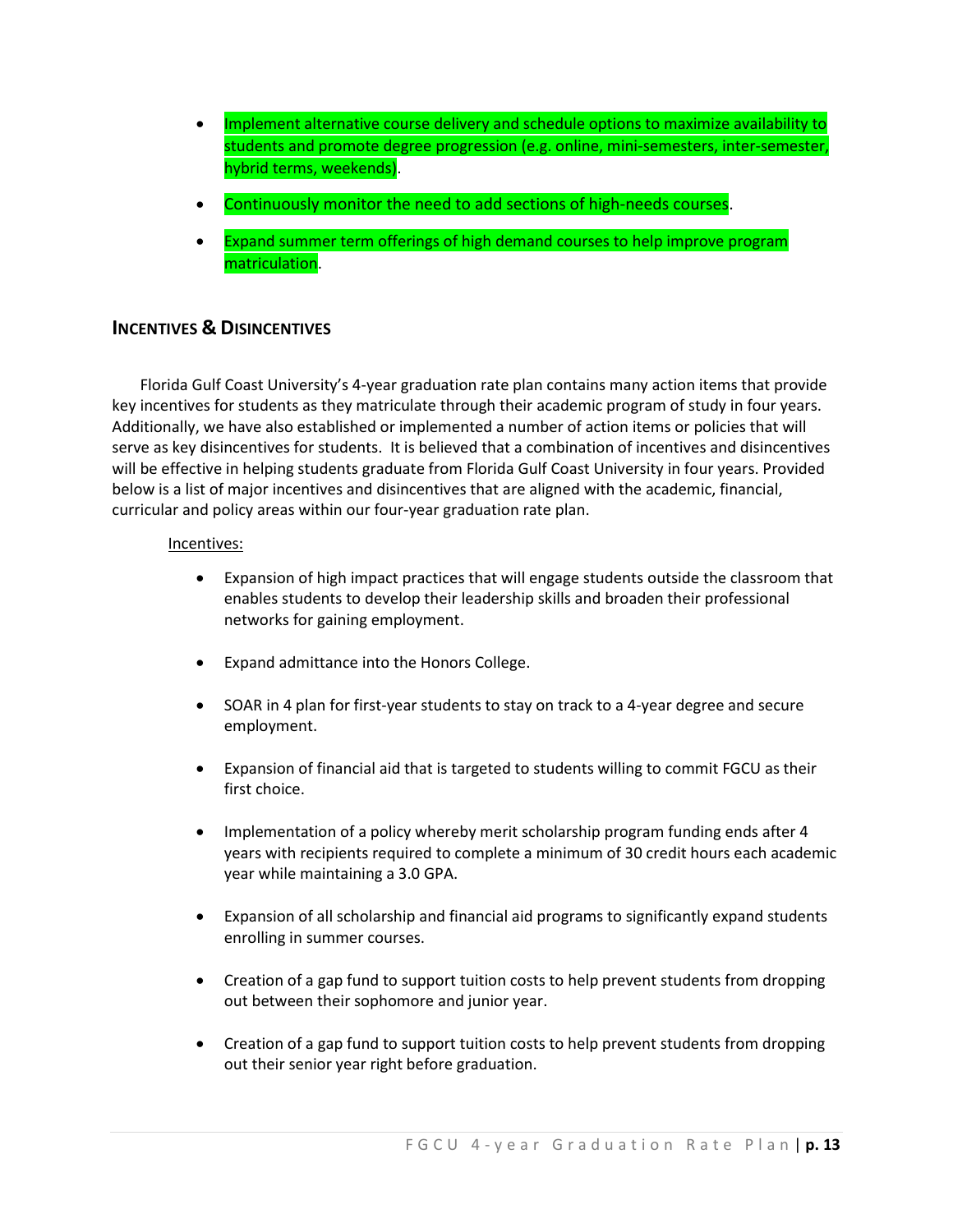- Implement alternative course delivery and schedule options to maximize availability to students and promote degree progression (e.g. online, mini-semesters, inter-semester, hybrid terms, weekends).
- Continuously monitor the need to add sections of high-needs courses.
- Expand summer term offerings of high demand courses to help improve program matriculation.

# **INCENTIVES & DISINCENTIVES**

Florida Gulf Coast University's 4-year graduation rate plan contains many action items that provide key incentives for students as they matriculate through their academic program of study in four years. Additionally, we have also established or implemented a number of action items or policies that will serve as key disincentives for students. It is believed that a combination of incentives and disincentives will be effective in helping students graduate from Florida Gulf Coast University in four years. Provided below is a list of major incentives and disincentives that are aligned with the academic, financial, curricular and policy areas within our four-year graduation rate plan.

#### Incentives:

- Expansion of high impact practices that will engage students outside the classroom that enables students to develop their leadership skills and broaden their professional networks for gaining employment.
- Expand admittance into the Honors College.
- SOAR in 4 plan for first-year students to stay on track to a 4-year degree and secure employment.
- Expansion of financial aid that is targeted to students willing to commit FGCU as their first choice.
- Implementation of a policy whereby merit scholarship program funding ends after 4 years with recipients required to complete a minimum of 30 credit hours each academic year while maintaining a 3.0 GPA.
- Expansion of all scholarship and financial aid programs to significantly expand students enrolling in summer courses.
- Creation of a gap fund to support tuition costs to help prevent students from dropping out between their sophomore and junior year.
- Creation of a gap fund to support tuition costs to help prevent students from dropping out their senior year right before graduation.